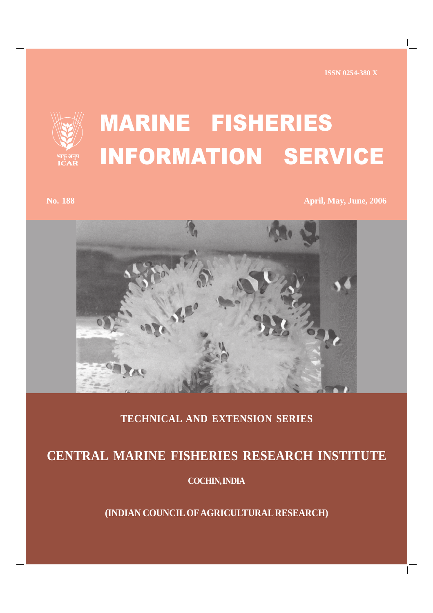**ISSN 0254-380 X**



## MARINE FISHERIES INFORMATION SERVICE

**No. 188 April, May, June, 2006** 



## **TECHNICAL AND EXTENSION SERIES**

## **CENTRAL MARINE FISHERIES RESEARCH INSTITUTE**

**COCHIN, INDIA**

**(INDIAN COUNCIL OF AGRICULTURAL RESEARCH)**